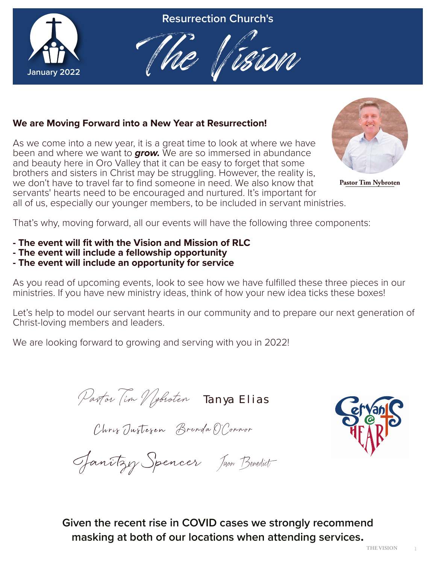

**Resurrection Church's**



## **We are Moving Forward into a New Year at Resurrection!**

As we come into a new year, it is a great time to look at where we have been and where we want to *grow.* We are so immersed in abundance and beauty here in Oro Valley that it can be easy to forget that some brothers and sisters in Christ may be struggling. However, the reality is, we don't have to travel far to find someone in need. We also know that servants' hearts need to be encouraged and nurtured. It's important for all of us, especially our younger members, to be included in servant ministries.



**Pastor Tim Nybroten**

That's why, moving forward, all our events will have the following three components:

- **The event will fit with the Vision and Mission of RLC**
- **The event will include a fellowship opportunity**
- **The event will include an opportunity for service**

As you read of upcoming events, look to see how we have fulfilled these three pieces in our ministries. If you have new ministry ideas, think of how your new idea ticks these boxes!

Let's help to model our servant hearts in our community and to prepare our next generation of Christ-loving members and leaders.

We are looking forward to growing and serving with you in 2022!

**Pastor Tim Nybroten** Tanya Elias

Chris Justezen Brenda O'Connor



Janitzy Spencer Jason Benedict

**Given the recent rise in COVID cases we strongly recommend masking at both of our locations when attending services.**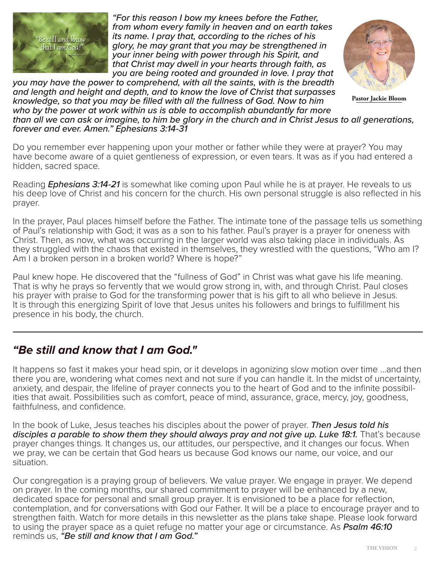

*"For this reason I bow my knees before the Father, from whom every family in heaven and on earth takes its name. I pray that, according to the riches of his glory, he may grant that you may be strengthened in your inner being with power through his Spirit, and that Christ may dwell in your hearts through faith, as you are being rooted and grounded in love. I pray that* 

**Pastor Jackie Bloom**

*you may have the power to comprehend, with all the saints, with is the breadth and length and height and depth, and to know the love of Christ that surpasses knowledge, so that you may be filled with all the fullness of God. Now to him who by the power at work within us is able to accomplish abundantly far more than all we can ask or imagine, to him be glory in the church and in Christ Jesus to all generations, forever and ever. Amen." Ephesians 3:14-31*

Do you remember ever happening upon your mother or father while they were at prayer? You may have become aware of a quiet gentleness of expression, or even tears. It was as if you had entered a hidden, sacred space.

Reading *Ephesians 3:14-21* is somewhat like coming upon Paul while he is at prayer. He reveals to us his deep love of Christ and his concern for the church. His own personal struggle is also reflected in his prayer.

In the prayer, Paul places himself before the Father. The intimate tone of the passage tells us something of Paul's relationship with God; it was as a son to his father. Paul's prayer is a prayer for oneness with Christ. Then, as now, what was occurring in the larger world was also taking place in individuals. As they struggled with the chaos that existed in themselves, they wrestled with the questions, "Who am I? Am I a broken person in a broken world? Where is hope?"

Paul knew hope. He discovered that the "fullness of God" in Christ was what gave his life meaning. That is why he prays so fervently that we would grow strong in, with, and through Christ. Paul closes his prayer with praise to God for the transforming power that is his gift to all who believe in Jesus. It is through this energizing Spirit of love that Jesus unites his followers and brings to fulfillment his presence in his body, the church.

## *"Be still and know that I am God."*

It happens so fast it makes your head spin, or it develops in agonizing slow motion over time …and then there you are, wondering what comes next and not sure if you can handle it. In the midst of uncertainty, anxiety, and despair, the lifeline of prayer connects you to the heart of God and to the infinite possibilities that await. Possibilities such as comfort, peace of mind, assurance, grace, mercy, joy, goodness, faithfulness, and confidence.

In the book of Luke, Jesus teaches his disciples about the power of prayer. *Then Jesus told his*  disciples a parable to show them they should always pray and not give up. Luke 18:1. That's because prayer changes things. It changes us, our attitudes, our perspective, and it changes our focus. When we pray, we can be certain that God hears us because God knows our name, our voice, and our situation.

Our congregation is a praying group of believers. We value prayer. We engage in prayer. We depend on prayer. In the coming months, our shared commitment to prayer will be enhanced by a new, dedicated space for personal and small group prayer. It is envisioned to be a place for reflection, contemplation, and for conversations with God our Father. It will be a place to encourage prayer and to strengthen faith. Watch for more details in this newsletter as the plans take shape. Please look forward to using the prayer space as a quiet refuge no matter your age or circumstance. As *Psalm 46:10* reminds us, *"Be still and know that I am God."*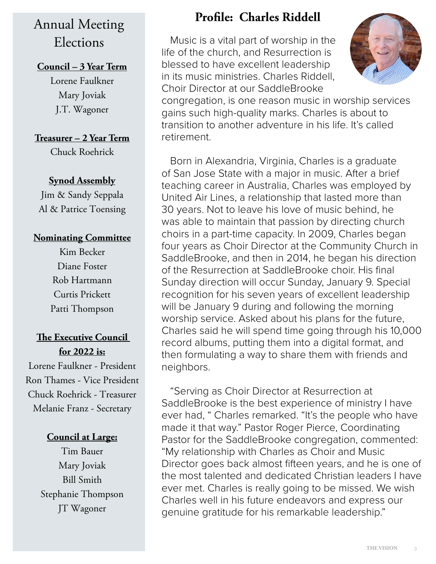## Annual Meeting Elections

## **Council – 3 Year Term**

Lorene Faulkner Mary Joviak J.T. Wagoner

## **Treasurer – 2 Year Term**

Chuck Roehrick

## **Synod Assembly**

Jim & Sandy Seppala Al & Patrice Toensing

### **Nominating Committee**

Kim Becker Diane Foster Rob Hartmann Curtis Prickett Patti Thompson

## **The Executive Council for 2022 is:**

Lorene Faulkner - President Ron Thames - Vice President Chuck Roehrick - Treasurer Melanie Franz - Secretary

## **Council at Large:**

Tim Bauer Mary Joviak Bill Smith Stephanie Thompson JT Wagoner

## **Profile: Charles Riddell**

Music is a vital part of worship in the life of the church, and Resurrection is blessed to have excellent leadership in its music ministries. Charles Riddell, Choir Director at our SaddleBrooke



congregation, is one reason music in worship services gains such high-quality marks. Charles is about to transition to another adventure in his life. It's called retirement.

Born in Alexandria, Virginia, Charles is a graduate of San Jose State with a major in music. After a brief teaching career in Australia, Charles was employed by United Air Lines, a relationship that lasted more than 30 years. Not to leave his love of music behind, he was able to maintain that passion by directing church choirs in a part-time capacity. In 2009, Charles began four years as Choir Director at the Community Church in SaddleBrooke, and then in 2014, he began his direction of the Resurrection at SaddleBrooke choir. His final Sunday direction will occur Sunday, January 9. Special recognition for his seven years of excellent leadership will be January 9 during and following the morning worship service. Asked about his plans for the future, Charles said he will spend time going through his 10,000 record albums, putting them into a digital format, and then formulating a way to share them with friends and neighbors.

"Serving as Choir Director at Resurrection at SaddleBrooke is the best experience of ministry I have ever had, " Charles remarked. "It's the people who have made it that way." Pastor Roger Pierce, Coordinating Pastor for the SaddleBrooke congregation, commented: "My relationship with Charles as Choir and Music Director goes back almost fifteen years, and he is one of the most talented and dedicated Christian leaders I have ever met. Charles is really going to be missed. We wish Charles well in his future endeavors and express our genuine gratitude for his remarkable leadership."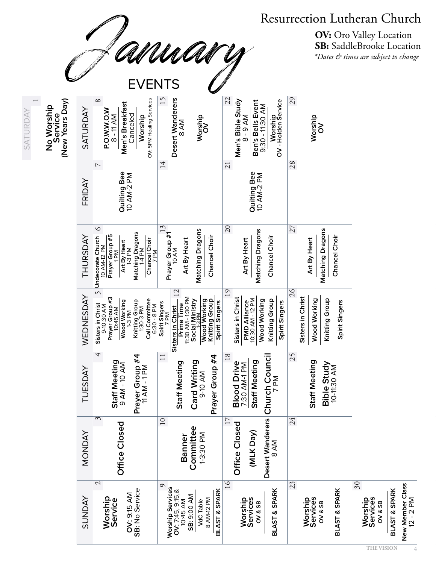Resurrection Lutheran Church<br>
OU MANUANU<br>
SB: SaddleBrooke Location<br>
SB: SaddleBrooke Location<br>
Pates & times are subject to change<br>
EVENTS **OV:** Oro Valley Location **SB:** SaddleBrooke Location *\*Dates & times are subject to change*

| (New Years Day)<br>No Worship<br>Service<br><b>SATURDAY</b> | SATURDAY      | OV: 5PM Healing Services<br>$^{\circ}$<br>Men's Breakfast<br>P.O.W.W.O.W<br>Canceled<br>8 - 11 AM<br>Worship                                                           | 15<br>Desert Wanderers<br>Worship<br>OV<br><b>BAM</b>                                                                                                               | 22<br>Men's Bible Study<br>8 - 9 AM<br>Worship<br>OV - Holden Service<br>Ben's Bells Event<br>9:30 - 11:30 AM   | 29<br>Worship<br>OV                                                         |                                                                                                                        |
|-------------------------------------------------------------|---------------|------------------------------------------------------------------------------------------------------------------------------------------------------------------------|---------------------------------------------------------------------------------------------------------------------------------------------------------------------|-----------------------------------------------------------------------------------------------------------------|-----------------------------------------------------------------------------|------------------------------------------------------------------------------------------------------------------------|
|                                                             | FRIDAY        | $\overline{\phantom{0}}$<br>Quilting Bee<br>10 AM-2 PM                                                                                                                 | 14                                                                                                                                                                  | $\overline{21}$<br>Quilting Bee<br>10 AM-2 PM                                                                   | 28                                                                          |                                                                                                                        |
|                                                             | THURSDAY      | $\circ$<br><b>Matching Dragons</b><br>Prayer Group #5<br>Undecorate Church<br>10 AM-12 PM<br>Chancel Choir<br>7 PM<br>Art By Heart<br>1-3 PM<br>$1-4$ PM<br>Μq         | 13<br>Matching Dragons<br>Prayer Group #1<br>10 AM<br>Chancel Choir<br>Art By Heart                                                                                 | 20<br>Matching Dragons<br>Chancel Choir<br>Art By Heart                                                         | 27<br>Matching Dragons<br>Chancel Choir<br>Art By Heart                     |                                                                                                                        |
|                                                             | WEDNESDAY     | $\sqrt{ }$<br>Prayer Group #3<br>10:45 AM<br>Call Committee<br>6:30 - 8 PM<br>Wood Working<br>1-3 PM<br>Knitting Group<br>1:30-3 PM<br>Sisters in Christ<br>9-10:30 AM | 12<br>11:30 AM - 1:30 PM<br>Social Ministry<br><b>Wood Working</b><br>Knitting Group<br>Spirit Singers<br>Spirit Singers<br>7 PM<br>Prime Time<br>Sisters in Christ | 19<br>Sisters in Christ<br>PMD Alliance<br>10:30 AM - 12 PM<br>Wood Working<br>Knitting Group<br>Spirit Singers | 26<br>Sisters in Christ<br>Knitting Group<br>Wood Working<br>Spirit Singers |                                                                                                                        |
|                                                             | TUESDAY       | $\overline{\mathcal{F}}$<br>rayer Group #4<br>11 AM - 1 PM<br>Staff Meeting<br>9 AM - 10 AM<br>ᅹ                                                                       | $\Box$<br>Prayer Group #4<br>Card Writing<br>9-10 AM<br>Staff Meeting                                                                                               | $18\,$<br>Staff Meeting<br><b>Blood Drive</b><br>7:30 AM-1 PM                                                   | 25<br>Staff Meeting<br>Bible Study<br>10-11:30 AM                           |                                                                                                                        |
|                                                             | <b>MONDAY</b> | 3<br>Office Closed                                                                                                                                                     | 10<br>Committee<br>1-3:30 PM<br>Banner                                                                                                                              | Desert Wanderers Church Council<br>8 AM<br>17<br>Office Closed<br>(MLK Day)                                     | 24                                                                          |                                                                                                                        |
|                                                             | <b>SUNDAY</b> | $\mathcal{L}$<br>OV: 9:15 AM<br>SB: No Service<br>Worship<br>Service                                                                                                   | $\circ$<br><b>Worship Services<br/>OV: 7:45, 9:15,&amp;<br/>10:45 AM</b><br>BLAST & SPARK<br>SB: 9:00 AM<br>8 AM-12 PM<br><b>VdC</b> Table                          | $\overline{16}$<br><b>BLAST &amp; SPARK</b><br>Worship<br>Services<br>OV & SB                                   | 23<br>BLAST & SPARK<br>Worship<br>Services<br>OV & SB                       | $\overline{\mathcal{E}}$<br>New Member Class<br>BLAST & SPARK<br>$12 - 2 P M$<br><b>Worship</b><br>Services<br>OV & SB |
|                                                             |               |                                                                                                                                                                        |                                                                                                                                                                     |                                                                                                                 |                                                                             | <b>THE VISION</b>                                                                                                      |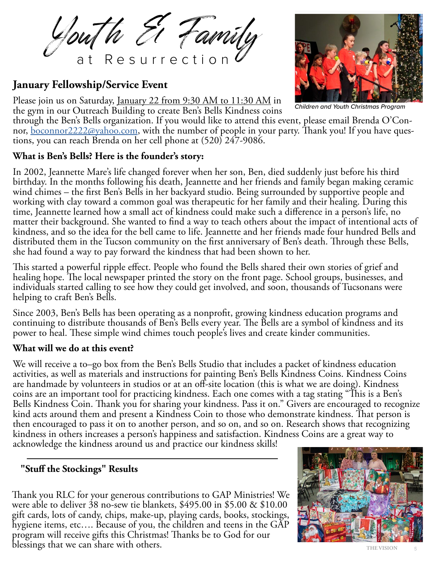Youth El Family

## **January Fellowship/Service Event**

Please join us on Saturday, <u>January 22 from 9:30 AM to 11:30 AM</u> in the gym in our Outreach Building to create Ben's Bells Kindness coins



*Children and Youth Christmas Program*

through the Ben's Bells organization. If you would like to attend this event, please email Brenda O'Connor, <u>[boconnor2222@yahoo.com](mailto:boconnor2222%40yahoo.com?subject=)</u>, with the number of people in your party. Thank you! If you have questions, you can reach

## **What is Ben's Bells? Here is the founder's story:**

In 2002, Jeannette Mare's life changed forever when her son, Ben, died suddenly just before his third birthday. In the months following his death, Jeannette and her friends and family began making ceramic wind chimes – the first Ben's Bells in her backyard studio. Being surrounded by supportive people and working with clay toward a common goal was therapeutic for her family and their healing. During this time, Jeannette learned how a small act of kindness could make such a difference in a person's life, no matter their background. She wanted to find a way to teach others about the impact of intentional acts of kindness, and so the idea for the bell came to life. Jeannette and her friends made four hundred Bells and distributed them in the Tucson community on the first anniversary of Ben's death. Through these Bells, she had found a way to pay forward the kindness that had been shown to her.

This started a powerful ripple effect. People who found the Bells shared their own stories of grief and healing hope. The local newspaper printed the story on the front page. School groups, businesses, and individuals started calling to see how they could get involved, and soon, thousands of Tucsonans were helping to craft Ben's Bells.

Since 2003, Ben's Bells has been operating as a nonprofit, growing kindness education programs and continuing to distribute thousands of Ben's Bells every year. The Bells are a symbol of kindness and its power to heal. These simple wind chimes touch people's lives and create kinder communities.

### **What will we do at this event?**

We will receive a to–go box from the Ben's Bells Studio that includes a packet of kindness education activities, as well as materials and instructions for painting Ben's Bells Kindness Coins. Kindness Coins are handmade by volunteers in studios or at an off-site location (this is what we are doing). Kindness coins are an important tool for practicing kindness. Each one comes with a tag stating "This is a Ben's Bells Kindness Coin. Thank you for sharing your kindness. Pass it on." Givers are encouraged to recognize kind acts around them and present a Kindness Coin to those who demonstrate kindness. That person is then encouraged to pass it on to another person, and so on, and so on. Research shows that recognizing kindness in others increases a person's happiness and satisfaction. Kindness Coins are a great way to acknowledge the kindness around us and practice our kindness skills!

## **"Stuff the Stockings" Results**

Thank you RLC for your generous contributions to GAP Ministries! We were able to deliver 38 no-sew tie blankets, \$495.00 in \$5.00 & \$10.00 gift cards, lots of candy, chips, make-up, playing cards, books, stockings, hygiene items, etc…. Because of you, the children and teens in the GAP program will receive gifts this Christmas! Thanks be to God for our blessings that we can share with others.

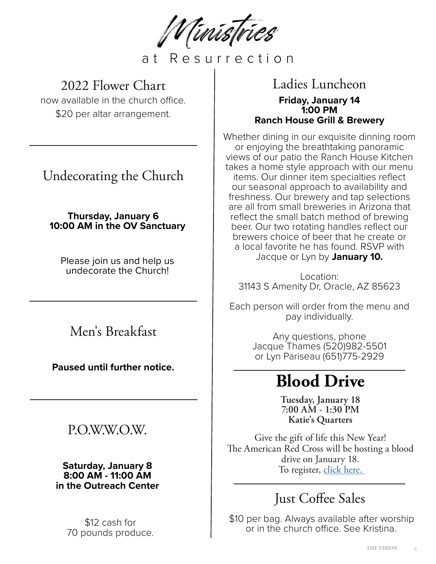Ministries

at Resurrection

## 2022 Flower Chart

now available in the church office. \$20 per altar arrangement.

Undecorating the Church

**Thursday, January 6 10:00 AM in the OV Sanctuary** 

Please join us and help us undecorate the Church!

Men's Breakfast

**Paused until further notice.**

## P.O.W.W.O.W.

**Saturday, January 8 8:00 AM - 11:00 AM in the Outreach Center**

> \$12 cash for 70 pounds produce.

## Ladies Luncheon **Friday, January 14 1:00 PM Ranch House Grill & Brewery**

Whether dining in our exquisite dinning room or enjoying the breathtaking panoramic views of our patio the Ranch House Kitchen takes a home style approach with our menu items. Our dinner item specialties reflect our seasonal approach to availability and freshness. Our brewery and tap selections are all from small breweries in Arizona that reflect the small batch method of brewing beer. Our two rotating handles reflect our brewers choice of beer that he create or a local favorite he has found. RSVP with Jacque or Lyn by **January 10.** 

Location: 31143 S Amenity Dr, Oracle, AZ 85623

Each person will order from the menu and pay individually.

> Any questions, phone Jacque Thames (520)982-5501 or Lyn Pariseau (651)775-2929

# **Blood Drive**

**Tuesday, January 18 7:00 AM - 1:30 PM Katie's Quarters**

Give the gift of life this New Year! The American Red Cross will be hosting a blood drive on January 18. To register, click here.

## Just Coffee Sales

\$10 per bag. Always available after worship or in the church office. See Kristina.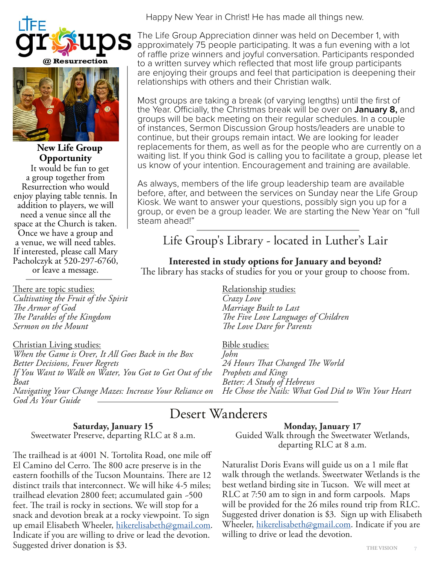



**New Life Group Opportunity** It would be fun to get a group together from Resurrection who would enjoy playing table tennis. In addition to players, we will need a venue since all the space at the Church is taken. Once we have a group and a venue, we will need tables. If interested, please call Mary Pacholczyk at 520-297-6760, Happy New Year in Christ! He has made all things new.

The Life Group Appreciation dinner was held on December 1, with approximately 75 people participating. It was a fun evening with a lot of raffle prize winners and joyful conversation. Participants responded to a written survey which reflected that most life group participants are enjoying their groups and feel that participation is deepening their relationships with others and their Christian walk.

Most groups are taking a break (of varying lengths) until the first of the Year. Officially, the Christmas break will be over on **January 8,** and groups will be back meeting on their regular schedules. In a couple of instances, Sermon Discussion Group hosts/leaders are unable to continue, but their groups remain intact. We are looking for leader replacements for them, as well as for the people who are currently on a waiting list. If you think God is calling you to facilitate a group, please let us know of your intention. Encouragement and training are available.

As always, members of the life group leadership team are available before, after, and between the services on Sunday near the Life Group Kiosk. We want to answer your questions, possibly sign you up for a group, or even be a group leader. We are starting the New Year on "full steam ahead!"

## Life Group's Library - located in Luther's Lair

### **Interested in study options for January and beyond?**

The library has stacks of studies for you or your group to choose from. or leave a message.

There are topic studies: *Cultivating the Fruit of the Spirit The Armor of God The Parables of the Kingdom Sermon on the Mount*

Christian Living studies: *When the Game is Over, It All Goes Back in the Box Better Decisions, Fewer Regrets If You Want to Walk on Water, You Got to Get Out of the Boat Navigating Your Change Mazes: Increase Your Reliance on God As Your Guide*

Relationship studies: *Crazy Love Marriage Built to Last The Five Love Languages of Children The Love Dare for Parents* 

Bible studies: *John 24 Hours That Changed The World Prophets and Kings Better: A Study of Hebrews He Chose the Nails: What God Did to Win Your Heart*

## Desert Wanderers

## **Saturday, January 15**

Sweetwater Preserve, departing RLC at 8 a.m.

The trailhead is at 4001 N. Tortolita Road, one mile off El Camino del Cerro. The 800 acre preserve is in the eastern foothills of the Tucson Mountains. There are 12 distinct trails that interconnect. We will hike 4-5 miles; trailhead elevation 2800 feet; accumulated gain ~500 feet. The trail is rocky in sections. We will stop for a snack and devotion break at a rocky viewpoint. To sign up email Elisabeth Wheeler, [hikerelisabeth@gmail.com.](mailto:hikerelisabeth%40gmail.com?subject=) Indicate if you are willing to drive or lead the devotion. Suggested driver donation is \$3.

**Monday, January 17**

Guided Walk through the Sweetwater Wetlands, departing RLC at 8 a.m.

Naturalist Doris Evans will guide us on a 1 mile flat walk through the wetlands. Sweetwater Wetlands is the best wetland birding site in Tucson. We will meet at RLC at 7:50 am to sign in and form carpools. Maps will be provided for the 26 miles round trip from RLC. Suggested driver donation is \$3. Sign up with Elisabeth Wheeler, [hikerelisabeth@gmail.com.](mailto:hikerelisabeth%40gmail.com?subject=) Indicate if you are willing to drive or lead the devotion.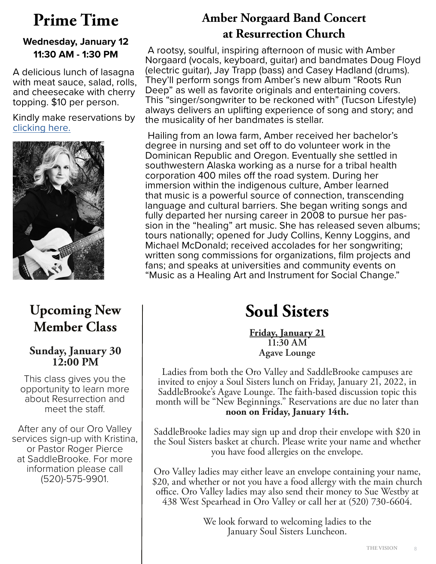## **Wednesday, January 12 11:30 AM - 1:30 PM**

A delicious lunch of lasagna with meat sauce, salad, rolls, and cheesecake with cherry topping. \$10 per person.

Kindly make reservations by [clicking here.](https://rsvp.church/r/ztKN2dJ9)



## **Upcoming New Member Class**

## **Sunday, January 30 12:00 PM**

This class gives you the opportunity to learn more about Resurrection and meet the staff.

After any of our Oro Valley services sign-up with Kristina, or Pastor Roger Pierce at SaddleBrooke. For more information please call (520)-575-9901.

## **Prime Time Amber Norgaard Band Concert at Resurrection Church**

 A rootsy, soulful, inspiring afternoon of music with Amber Norgaard (vocals, keyboard, guitar) and bandmates Doug Floyd (electric guitar), Jay Trapp (bass) and Casey Hadland (drums). They'll perform songs from Amber's new album "Roots Run Deep" as well as favorite originals and entertaining covers. This "singer/songwriter to be reckoned with" (Tucson Lifestyle) always delivers an uplifting experience of song and story; and the musicality of her bandmates is stellar.

 Hailing from an Iowa farm, Amber received her bachelor's degree in nursing and set off to do volunteer work in the Dominican Republic and Oregon. Eventually she settled in southwestern Alaska working as a nurse for a tribal health corporation 400 miles off the road system. During her immersion within the indigenous culture, Amber learned that music is a powerful source of connection, transcending language and cultural barriers. She began writing songs and<br>fully departed her nursing career in 2008 to pursue her passion in the "healing" art music. She has released seven albums; tours nationally; opened for Judy Collins, Kenny Loggins, and Michael McDonald; received accolades for her songwriting; written song commissions for organizations, film projects and fans; and speaks at universities and community events on "Music as a Healing Art and Instrument for Social Change."

# **Soul Sisters**

**Friday, January 21 11:30 AM Agave Lounge**

Ladies from both the Oro Valley and SaddleBrooke campuses are invited to enjoy a Soul Sisters lunch on Friday, January 21, 2022, in SaddleBrooke's Agave Lounge. The faith-based discussion topic this month will be "New Beginnings." Reservations are due no later than **noon on Friday, January 14th.**

SaddleBrooke ladies may sign up and drop their envelope with \$20 in the Soul Sisters basket at church. Please write your name and whether you have food allergies on the envelope.

Oro Valley ladies may either leave an envelope containing your name, \$20, and whether or not you have a food allergy with the main church office. Oro Valley ladies may also send their money to Sue Westby at 438 West Spearhead in Oro Valley or call her at (520) 730-6604.

> We look forward to welcoming ladies to the January Soul Sisters Luncheon.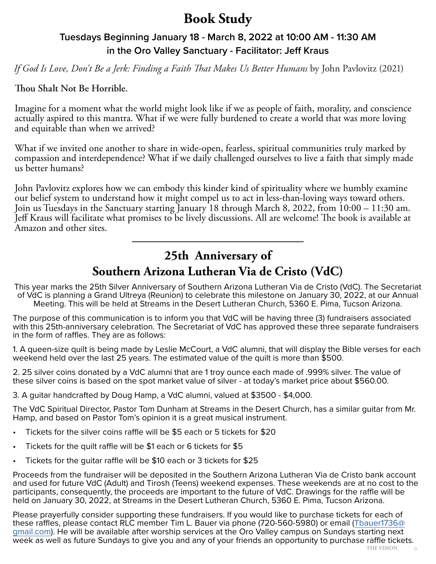## **Book Study**

## **Tuesdays Beginning January 18 - March 8, 2022 at 10:00 AM - 11:30 AM in the Oro Valley Sanctuary - Facilitator: Jeff Kraus**

*If God Is Love, Don't Be a Jerk: Finding a Faith That Makes Us Better Humans* by John Pavlovitz (2021)

### **Thou Shalt Not Be Horrible.**

Imagine for a moment what the world might look like if we as people of faith, morality, and conscience actually aspired to this mantra. What if we were fully burdened to create a world that was more loving and equitable than when we arrived?

What if we invited one another to share in wide-open, fearless, spiritual communities truly marked by compassion and interdependence? What if we daily challenged ourselves to live a faith that simply made us better humans?

John Pavlovitz explores how we can embody this kinder kind of spirituality where we humbly examine our belief system to understand how it might compel us to act in less-than-loving ways toward others. Join us Tuesdays in the Sanctuary starting January 18 through March 8, 2022, from 10:00 – 11:30 am. Jeff Kraus will facilitate what promises to be lively discussions. All are welcome! The book is available at Amazon and other sites.

## **25th Anniversary of Southern Arizona Lutheran Via de Cristo (VdC)**

This year marks the 25th Silver Anniversary of Southern Arizona Lutheran Via de Cristo (VdC). The Secretariat of VdC is planning a Grand Ultreya (Reunion) to celebrate this milestone on January 30, 2022, at our Annual Meeting. This will be held at Streams in the Desert Lutheran Church, 5360 E. Pima, Tucson Arizona.

The purpose of this communication is to inform you that VdC will be having three (3) fundraisers associated with this 25th-anniversary celebration. The Secretariat of VdC has approved these three separate fundraisers in the form of raffles. They are as follows:

1. A queen-size quilt is being made by Leslie McCourt, a VdC alumni, that will display the Bible verses for each weekend held over the last 25 years. The estimated value of the quilt is more than \$500.

2. 25 silver coins donated by a VdC alumni that are 1 troy ounce each made of .999% silver. The value of these silver coins is based on the spot market value of silver - at today's market price about \$560.00.

3. A guitar handcrafted by Doug Hamp, a VdC alumni, valued at \$3500 - \$4,000.

The VdC Spiritual Director, Pastor Tom Dunham at Streams in the Desert Church, has a similar guitar from Mr. Hamp, and based on Pastor Tom's opinion it is a great musical instrument.

- Tickets for the silver coins raffle will be \$5 each or 5 tickets for \$20
- Tickets for the quilt raffle will be \$1 each or 6 tickets for \$5
- Tickets for the guitar raffle will be \$10 each or 3 tickets for \$25

Proceeds from the fundraiser will be deposited in the Southern Arizona Lutheran Via de Cristo bank account and used for future VdC (Adult) and Tirosh (Teens) weekend expenses. These weekends are at no cost to the participants, consequently, the proceeds are important to the future of VdC. Drawings for the raffle will be held on January 30, 2022, at Streams in the Desert Lutheran Church, 5360 E. Pima, Tucson Arizona.

Please prayerfully consider supporting these fundraisers. If you would like to purchase tickets for each of these raffles, please contact RLC member Tim L. Bauer via phone (720-560-5980) or email ([Tbauer1736@](mailto:Tbauer1736%40gmail.com?subject=) [gmail.com](mailto:Tbauer1736%40gmail.com?subject=)). He will be available after worship services at the Oro Valley campus on Sundays starting next week as well as future Sundays to give you and any of your friends an opportunity to purchase raffle tickets.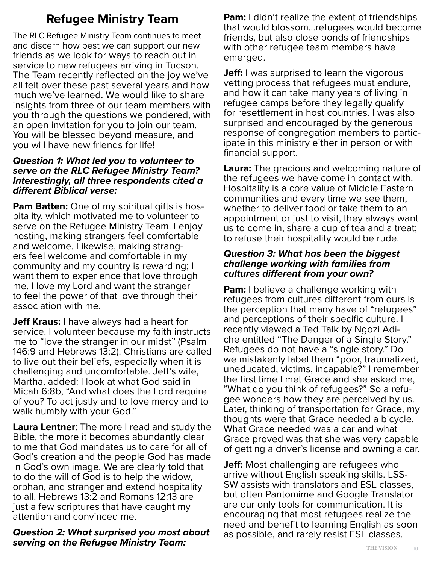## **Refugee Ministry Team**

The RLC Refugee Ministry Team continues to meet and discern how best we can support our new friends as we look for ways to reach out in service to new refugees arriving in Tucson. The Team recently reflected on the joy we've all felt over these past several years and how much we've learned. We would like to share insights from three of our team members with you through the questions we pondered, with an open invitation for you to join our team. You will be blessed beyond measure, and you will have new friends for life!

### *Question 1: What led you to volunteer to serve on the RLC Refugee Ministry Team? Interestingly, all three respondents cited a different Biblical verse:*

**Pam Batten:** One of my spiritual gifts is hospitality, which motivated me to volunteer to serve on the Refugee Ministry Team. I enjoy hosting, making strangers feel comfortable and welcome. Likewise, making strang- ers feel welcome and comfortable in my community and my country is rewarding; I want them to experience that love through me. I love my Lord and want the stranger to feel the power of that love through their association with me.

**Jeff Kraus:** I have always had a heart for service. I volunteer because my faith instructs me to "love the stranger in our midst" (Psalm 146:9 and Hebrews 13:2). Christians are called to live out their beliefs, especially when it is challenging and uncomfortable. Jeff's wife, Martha, added: I look at what God said in Micah 6:8b, "And what does the Lord require of you? To act justly and to love mercy and to walk humbly with your God."

**Laura Lentner**: The more I read and study the Bible, the more it becomes abundantly clear to me that God mandates us to care for all of God's creation and the people God has made in God's own image. We are clearly told that to do the will of God is to help the widow, orphan, and stranger and extend hospitality to all. Hebrews 13:2 and Romans 12:13 are just a few scriptures that have caught my attention and convinced me.

### *Question 2: What surprised you most about serving on the Refugee Ministry Team:*

**Pam:** I didn't realize the extent of friendships that would blossom…refugees would become friends, but also close bonds of friendships with other refugee team members have emerged.

**Jeff:** I was surprised to learn the vigorous vetting process that refugees must endure, and how it can take many years of living in refugee camps before they legally qualify for resettlement in host countries. I was also surprised and encouraged by the generous response of congregation members to participate in this ministry either in person or with financial support.

**Laura:** The gracious and welcoming nature of the refugees we have come in contact with. Hospitality is a core value of Middle Eastern communities and every time we see them, whether to deliver food or take them to an appointment or just to visit, they always want us to come in, share a cup of tea and a treat; to refuse their hospitality would be rude.

### *Question 3: What has been the biggest challenge working with families from cultures different from your own?*

**Pam:** I believe a challenge working with refugees from cultures different from ours is the perception that many have of "refugees" and perceptions of their specific culture. I recently viewed a Ted Talk by Ngozi Adi- che entitled "The Danger of a Single Story." Refugees do not have a "single story." Do we mistakenly label them "poor, traumatized, uneducated, victims, incapable?" I remember the first time I met Grace and she asked me, "What do you think of refugees?" So a refu- gee wonders how they are perceived by us. Later, thinking of transportation for Grace, my thoughts were that Grace needed a bicycle. What Grace needed was a car and what Grace proved was that she was very capable of getting a driver's license and owning a car.

**Jeff:** Most challenging are refugees who arrive without English speaking skills. LSS-SW assists with translators and ESL classes, but often Pantomime and Google Translator are our only tools for communication. It is encouraging that most refugees realize the need and benefit to learning English as soon as possible, and rarely resist ESL classes.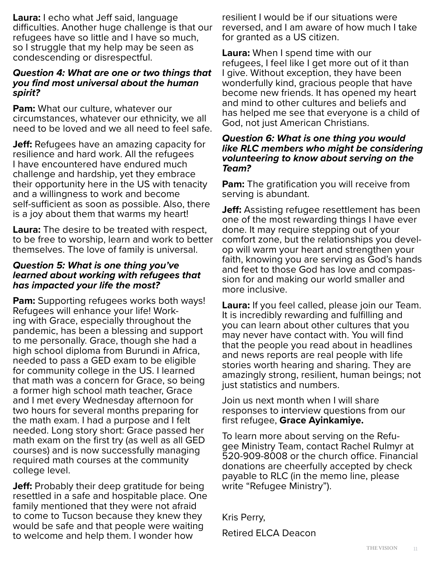**Laura:** I echo what Jeff said, language difficulties. Another huge challenge is that our refugees have so little and I have so much, so I struggle that my help may be seen as condescending or disrespectful.

### *Question 4: What are one or two things that you find most universal about the human spirit?*

**Pam:** What our culture, whatever our circumstances, whatever our ethnicity, we all need to be loved and we all need to feel safe.

**Jeff:** Refugees have an amazing capacity for resilience and hard work. All the refugees I have encountered have endured much challenge and hardship, yet they embrace their opportunity here in the US with tenacity and a willingness to work and become self-sufficient as soon as possible. Also, there is a joy about them that warms my heart!

**Laura:** The desire to be treated with respect, to be free to worship, learn and work to better themselves. The love of family is universal.

### *Question 5: What is one thing you've learned about working with refugees that has impacted your life the most?*

**Pam:** Supporting refugees works both ways! Refugees will enhance your life! Working with Grace, especially throughout the pandemic, has been a blessing and support to me personally. Grace, though she had a high school diploma from Burundi in Africa, needed to pass a GED exam to be eligible for community college in the US. I learned that math was a concern for Grace, so being a former high school math teacher, Grace and I met every Wednesday afternoon for two hours for several months preparing for the math exam. I had a purpose and I felt needed. Long story short: Grace passed her math exam on the first try (as well as all GED courses) and is now successfully managing required math courses at the community college level.

**Jeff:** Probably their deep gratitude for being resettled in a safe and hospitable place. One family mentioned that they were not afraid to come to Tucson because they knew they would be safe and that people were waiting to welcome and help them. I wonder how

resilient I would be if our situations were reversed, and I am aware of how much I take for granted as a US citizen.

**Laura:** When I spend time with our refugees, I feel like I get more out of it than I give. Without exception, they have been wonderfully kind, gracious people that have become new friends. It has opened my heart and mind to other cultures and beliefs and has helped me see that everyone is a child of God, not just American Christians.

### *Question 6: What is one thing you would like RLC members who might be considering volunteering to know about serving on the Team?*

**Pam:** The gratification you will receive from serving is abundant.

**Jeff:** Assisting refugee resettlement has been one of the most rewarding things I have ever done. It may require stepping out of your comfort zone, but the relationships you devel- op will warm your heart and strengthen your faith, knowing you are serving as God's hands and feet to those God has love and compassion for and making our world smaller and more inclusive.

**Laura:** If you feel called, please join our Team. It is incredibly rewarding and fulfilling and you can learn about other cultures that you may never have contact with. You will find that the people you read about in headlines and news reports are real people with life stories worth hearing and sharing. They are amazingly strong, resilient, human beings; not just statistics and numbers.

Join us next month when I will share responses to interview questions from our first refugee, **Grace Ayinkamiye.**

To learn more about serving on the Refu- gee Ministry Team, contact Rachel Rulmyr at 520-909-8008 or the church office. Financial donations are cheerfully accepted by check payable to RLC (in the memo line, please write "Refugee Ministry").

Kris Perry, Retired ELCA Deacon